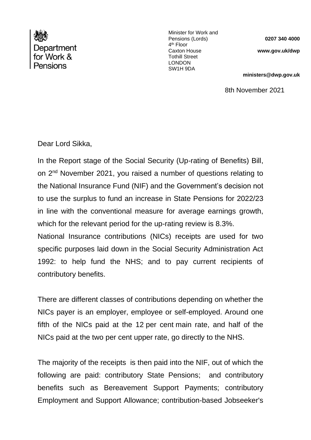

Minister for Work and Pensions (Lords) 4<sup>th</sup> Floor Caxton House Tothill Street LONDON SW1H 9DA

**0207 340 4000**

**www.gov.uk/dwp**

**ministers@dwp.gov.uk**

8th November 2021

Dear Lord Sikka,

In the Report stage of the Social Security (Up-rating of Benefits) Bill, on 2<sup>nd</sup> November 2021, you raised a number of questions relating to the National Insurance Fund (NIF) and the Government's decision not to use the surplus to fund an increase in State Pensions for 2022/23 in line with the conventional measure for average earnings growth, which for the relevant period for the up-rating review is 8.3%.

National Insurance contributions (NICs) receipts are used for two specific purposes laid down in the Social Security Administration Act 1992: to help fund the NHS; and to pay current recipients of contributory benefits.

There are different classes of contributions depending on whether the NICs payer is an employer, employee or self-employed. Around one fifth of the NICs paid at the 12 per cent main rate, and half of the NICs paid at the two per cent upper rate, go directly to the NHS.

The majority of the receipts is then paid into the NIF, out of which the following are paid: contributory State Pensions; and contributory benefits such as Bereavement Support Payments; contributory Employment and Support Allowance; contribution-based Jobseeker's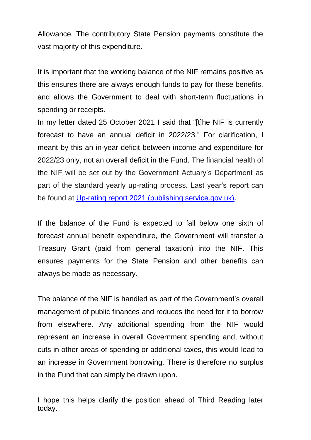Allowance. The contributory State Pension payments constitute the vast majority of this expenditure.

It is important that the working balance of the NIF remains positive as this ensures there are always enough funds to pay for these benefits, and allows the Government to deal with short-term fluctuations in spending or receipts.

In my letter dated 25 October 2021 I said that "[t]he NIF is currently forecast to have an annual deficit in 2022/23." For clarification, I meant by this an in-year deficit between income and expenditure for 2022/23 only, not an overall deficit in the Fund. The financial health of the NIF will be set out by the Government Actuary's Department as part of the standard yearly up-rating process. Last year's report can be found at [Up-rating report 2021 \(publishing.service.gov.uk\).](https://assets.publishing.service.gov.uk/government/uploads/system/uploads/attachment_data/file/953782/CCS1220755574-001_GAD_SS_Benefit_Up-rating_Order_2021_E-Laying__1__accessible.pdf)

If the balance of the Fund is expected to fall below one sixth of forecast annual benefit expenditure, the Government will transfer a Treasury Grant (paid from general taxation) into the NIF. This ensures payments for the State Pension and other benefits can always be made as necessary.

The balance of the NIF is handled as part of the Government's overall management of public finances and reduces the need for it to borrow from elsewhere. Any additional spending from the NIF would represent an increase in overall Government spending and, without cuts in other areas of spending or additional taxes, this would lead to an increase in Government borrowing. There is therefore no surplus in the Fund that can simply be drawn upon.

I hope this helps clarify the position ahead of Third Reading later today.